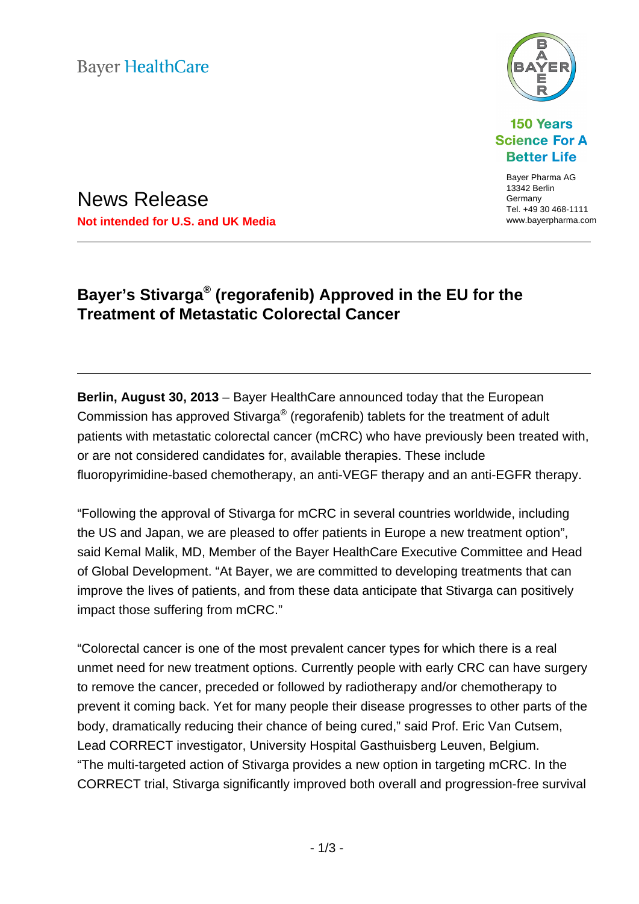**Bayer HealthCare** 



**150 Years Science For A Better Life** 

> Bayer Pharma AG 13342 Berlin Germany Tel. +49 30 468-1111

News Release **Not intended for U.S. and UK Media www.bayerpharma.com** www.bayerpharma.com

# **Bayer's Stivarga® (regorafenib) Approved in the EU for the Treatment of Metastatic Colorectal Cancer**

**Berlin, August 30, 2013** – Bayer HealthCare announced today that the European Commission has approved Stivarga® (regorafenib) tablets for the treatment of adult patients with metastatic colorectal cancer (mCRC) who have previously been treated with, or are not considered candidates for, available therapies. These include fluoropyrimidine-based chemotherapy, an anti-VEGF therapy and an anti-EGFR therapy.

"Following the approval of Stivarga for mCRC in several countries worldwide, including the US and Japan, we are pleased to offer patients in Europe a new treatment option", said Kemal Malik, MD, Member of the Bayer HealthCare Executive Committee and Head of Global Development. "At Bayer, we are committed to developing treatments that can improve the lives of patients, and from these data anticipate that Stivarga can positively impact those suffering from mCRC."

"Colorectal cancer is one of the most prevalent cancer types for which there is a real unmet need for new treatment options. Currently people with early CRC can have surgery to remove the cancer, preceded or followed by radiotherapy and/or chemotherapy to prevent it coming back. Yet for many people their disease progresses to other parts of the body, dramatically reducing their chance of being cured," said Prof. Eric Van Cutsem, Lead CORRECT investigator, University Hospital Gasthuisberg Leuven, Belgium. "The multi-targeted action of Stivarga provides a new option in targeting mCRC. In the CORRECT trial, Stivarga significantly improved both overall and progression-free survival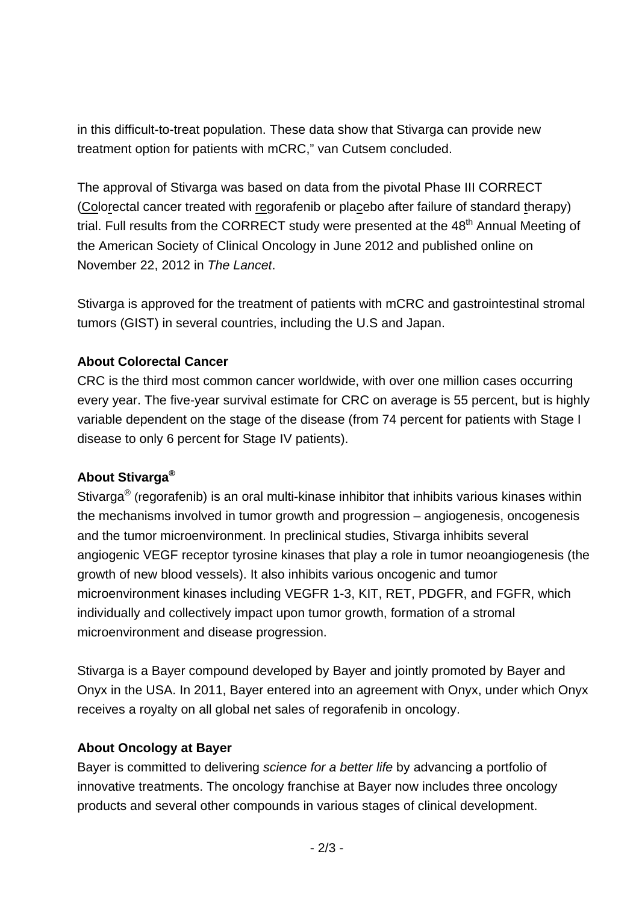in this difficult-to-treat population. These data show that Stivarga can provide new treatment option for patients with mCRC," van Cutsem concluded.

The approval of Stivarga was based on data from the pivotal Phase III CORRECT (Colorectal cancer treated with regorafenib or placebo after failure of standard therapy) trial. Full results from the CORRECT study were presented at the 48<sup>th</sup> Annual Meeting of the American Society of Clinical Oncology in June 2012 and published online on November 22, 2012 in *The Lancet*.

Stivarga is approved for the treatment of patients with mCRC and gastrointestinal stromal tumors (GIST) in several countries, including the U.S and Japan.

### **About Colorectal Cancer**

CRC is the third most common cancer worldwide, with over one million cases occurring every year. The five-year survival estimate for CRC on average is 55 percent, but is highly variable dependent on the stage of the disease (from 74 percent for patients with Stage I disease to only 6 percent for Stage IV patients).

## **About Stivarga®**

Stivarga<sup>®</sup> (regorafenib) is an oral multi-kinase inhibitor that inhibits various kinases within the mechanisms involved in tumor growth and progression – angiogenesis, oncogenesis and the tumor microenvironment. In preclinical studies, Stivarga inhibits several angiogenic VEGF receptor tyrosine kinases that play a role in tumor neoangiogenesis (the growth of new blood vessels). It also inhibits various oncogenic and tumor microenvironment kinases including VEGFR 1-3, KIT, RET, PDGFR, and FGFR, which individually and collectively impact upon tumor growth, formation of a stromal microenvironment and disease progression.

Stivarga is a Bayer compound developed by Bayer and jointly promoted by Bayer and Onyx in the USA. In 2011, Bayer entered into an agreement with Onyx, under which Onyx receives a royalty on all global net sales of regorafenib in oncology.

#### **About Oncology at Bayer**

Bayer is committed to delivering *science for a better life* by advancing a portfolio of innovative treatments. The oncology franchise at Bayer now includes three oncology products and several other compounds in various stages of clinical development.